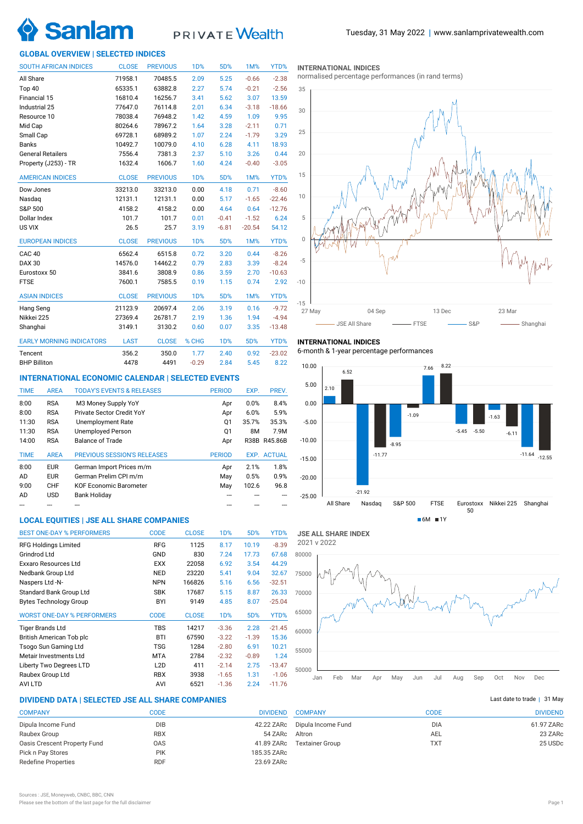

# **PRIVATE** Wealth

## **GLOBAL OVERVIEW | SELECTED INDICES**

| <b>SOUTH AFRICAN INDICES</b>    | <b>CLOSE</b> | <b>PREVIOUS</b> | 1 <sub>D</sub> % | 5D%        | 1M%      | YTD%     |
|---------------------------------|--------------|-----------------|------------------|------------|----------|----------|
| All Share                       | 71958.1      | 70485.5         | 2.09             | 5.25       | $-0.66$  | $-2.38$  |
| Top 40                          | 65335.1      | 63882.8         | 2.27             | 5.74       | $-0.21$  | $-2.56$  |
| Financial 15                    | 16810.4      | 16256.7         | 3.41             | 5.62       | 3.07     | 13.59    |
| Industrial 25                   | 77647.0      | 76114.8         | 2.01             | 6.34       | $-3.18$  | $-18.66$ |
| Resource 10                     | 78038.4      | 76948.2         | 1.42             | 4.59       | 1.09     | 9.95     |
| Mid Cap                         | 80264.6      | 78967.2         | 1.64             | 3.28       | $-2.11$  | 0.71     |
| Small Cap                       | 69728.1      | 68989.2         | 1.07             | 2.24       | $-1.79$  | 3.29     |
| <b>Banks</b>                    | 10492.7      | 10079.0         | 4.10             | 6.28       | 4.11     | 18.93    |
| <b>General Retailers</b>        | 7556.4       | 7381.3          | 2.37             | 5.10       | 3.26     | 0.44     |
| Property (J253) - TR            | 1632.4       | 1606.7          | 1.60             | 4.24       | $-0.40$  | $-3.05$  |
| <b>AMERICAN INDICES</b>         | <b>CLOSE</b> | <b>PREVIOUS</b> | 1 <sub>D</sub> % | 5D%        | 1M%      | YTD%     |
| Dow Jones                       | 33213.0      | 33213.0         | 0.00             | 4.18       | 0.71     | $-8.60$  |
| Nasdaq                          | 12131.1      | 12131.1         | 0.00             | 5.17       | $-1.65$  | $-22.46$ |
| S&P 500                         | 4158.2       | 4158.2          | 0.00             | 4.64       | 0.64     | $-12.76$ |
| Dollar Index                    | 101.7        | 101.7           | 0.01             | $-0.41$    | $-1.52$  | 6.24     |
| US VIX                          | 26.5         | 25.7            | 3.19             | $-6.81$    | $-20.54$ | 54.12    |
| <b>EUROPEAN INDICES</b>         | <b>CLOSE</b> | <b>PREVIOUS</b> | <b>1D%</b>       | 5D%        | 1M%      | YTD%     |
| CAC <sub>40</sub>               | 6562.4       | 6515.8          | 0.72             | 3.20       | 0.44     | $-8.26$  |
| <b>DAX 30</b>                   | 14576.0      | 14462.2         | 0.79             | 2.83       | 3.39     | $-8.24$  |
| Eurostoxx 50                    | 3841.6       | 3808.9          | 0.86             | 3.59       | 2.70     | $-10.63$ |
| <b>FTSE</b>                     | 7600.1       | 7585.5          | 0.19             | 1.15       | 0.74     | 2.92     |
| <b>ASIAN INDICES</b>            | <b>CLOSE</b> | <b>PREVIOUS</b> | <b>1D%</b>       | 5D%        | 1M%      | YTD%     |
| Hang Seng                       | 21123.9      | 20697.4         | 2.06             | 3.19       | 0.16     | $-9.72$  |
| Nikkei 225                      | 27369.4      | 26781.7         | 2.19             | 1.36       | 1.94     | $-4.94$  |
| Shanghai                        | 3149.1       | 3130.2          | 0.60             | 0.07       | 3.35     | $-13.48$ |
| <b>EARLY MORNING INDICATORS</b> | <b>LAST</b>  | <b>CLOSE</b>    | % CHG            | <b>1D%</b> | 5D%      | YTD%     |
| Tencent                         | 356.2        | 350.0           | 1.77             | 2.40       | 0.92     | $-23.02$ |
| <b>BHP Billiton</b>             | 4478         | 4491            | $-0.29$          | 2.84       | 5.45     | 8.22     |

## **INTERNATIONAL ECONOMIC CALENDAR | SELECTED EVENTS**

| <b>TIME</b> | <b>AREA</b> | <b>TODAY'S EVENTS &amp; RELEASES</b> | <b>PERIOD</b> | EXP.  | PREV.              |
|-------------|-------------|--------------------------------------|---------------|-------|--------------------|
| 8:00        | <b>RSA</b>  | M3 Money Supply YoY                  | Apr           | 0.0%  | 8.4%               |
| 8:00        | <b>RSA</b>  | Private Sector Credit YoY            | Apr           | 6.0%  | 5.9%               |
| 11:30       | <b>RSA</b>  | <b>Unemployment Rate</b>             | Q1            | 35.7% | 35.3%              |
| 11:30       | <b>RSA</b>  | <b>Unemployed Person</b>             | Q1            | 8M    | 7.9M               |
| 14:00       | <b>RSA</b>  | <b>Balance of Trade</b>              | Apr           | R38B  | R45.86B            |
|             |             |                                      |               |       |                    |
| <b>TIME</b> | <b>AREA</b> | <b>PREVIOUS SESSION'S RELEASES</b>   | <b>PERIOD</b> |       | <b>EXP. ACTUAL</b> |
| 8:00        | <b>EUR</b>  | German Import Prices m/m             | Apr           | 2.1%  | 1.8%               |
| AD          | <b>EUR</b>  | German Prelim CPI m/m                | May           | 0.5%  | 0.9%               |
| 9:00        | <b>CHF</b>  | <b>KOF Economic Barometer</b>        | May           | 102.6 | 96.8               |
| AD          | <b>USD</b>  | <b>Bank Holiday</b>                  |               |       |                    |

## **LOCAL EQUITIES | JSE ALL SHARE COMPANIES**

| <b>BEST ONE-DAY % PERFORMERS</b>  | <b>CODE</b>      | <b>CLOSE</b> | 1 <sub>D</sub> % | 5D%     | YTD%     |
|-----------------------------------|------------------|--------------|------------------|---------|----------|
| <b>RFG Holdings Limited</b>       | <b>RFG</b>       | 1125         | 8.17             | 10.19   | $-8.39$  |
| Grindrod Ltd                      | GND              | 830          | 7.24             | 17.73   | 67.68    |
| Exxaro Resources Ltd              | <b>EXX</b>       | 22058        | 6.92             | 3.54    | 44.29    |
| Nedbank Group Ltd                 | <b>NED</b>       | 23220        | 5.41             | 9.04    | 32.67    |
| Naspers Ltd -N-                   | <b>NPN</b>       | 166826       | 5.16             | 6.56    | $-32.51$ |
| Standard Bank Group Ltd           | <b>SBK</b>       | 17687        | 5.15             | 8.87    | 26.33    |
| <b>Bytes Technology Group</b>     | BYI              | 9149         | 4.85             | 8.07    | $-25.04$ |
| <b>WORST ONE-DAY % PERFORMERS</b> | <b>CODE</b>      | <b>CLOSE</b> | 1 <sub>D</sub> % | 5D%     | YTD%     |
| <b>Tiger Brands Ltd</b>           | <b>TBS</b>       | 14217        | $-3.36$          | 2.28    | $-21.45$ |
| British American Tob plc          | <b>BTI</b>       | 67590        | $-3.22$          | $-1.39$ | 15.36    |
| Tsogo Sun Gaming Ltd              | <b>TSG</b>       | 1284         | $-2.80$          | 6.91    | 10.21    |
| Metair Investments Ltd            | <b>MTA</b>       | 2784         | $-2.32$          | $-0.89$ | 1.24     |
| Liberty Two Degrees LTD           | L <sub>2</sub> D | 411          | $-2.14$          | 2.75    | $-13.47$ |
| Raubex Group Ltd                  | <b>RBX</b>       | 3938         | $-1.65$          | 1.31    | $-1.06$  |
| <b>AVILTD</b>                     | AVI              | 6521         | $-1.36$          | 2.24    | $-11.76$ |

## **DIVIDEND DATA | SELECTED JSE ALL SHARE COMPANIES |**

| <b>COMPANY</b>               | CODE       | <b>DIVIDEND</b> |
|------------------------------|------------|-----------------|
| Dipula Income Fund           | <b>DIB</b> | 42.22 ZARc      |
| Raubex Group                 | <b>RBX</b> | 54 ZARc         |
| Oasis Crescent Property Fund | <b>OAS</b> | 41.89 ZARc      |
| Pick n Pay Stores            | <b>PIK</b> | 185.35 ZARc     |
| <b>Redefine Properties</b>   | <b>RDF</b> | 23.69 ZARc      |
|                              |            |                 |

| <b>INTERNATIONAL INDICES</b> |  |  |
|------------------------------|--|--|
|------------------------------|--|--|

normalised percentage performances (in rand terms)



## **INTERNATIONAL INDICES**

6-month & 1-year percentage performances



**JSE ALL SHARE INDEX** 2021 v 2022



## Last date to trade  $|$  31 May

| <b>COMPANY</b>         | CODE       | <b>DIVIDEND</b> |
|------------------------|------------|-----------------|
| Dipula Income Fund     | <b>DIA</b> | 61.97 ZARc      |
| Altron                 | AEL        | 23 ZARC         |
| <b>Textainer Group</b> | <b>TXT</b> | 25 USDc         |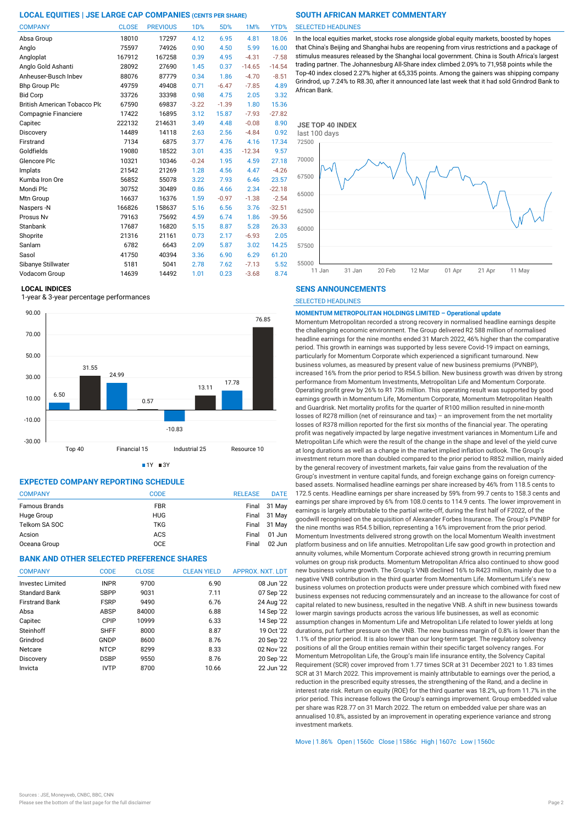| <b>COMPANY</b>                      | <b>CLOSE</b> | <b>PREVIOUS</b> | 1D%     | 5D%     | 1M%      | YTD%     |
|-------------------------------------|--------------|-----------------|---------|---------|----------|----------|
| Absa Group                          | 18010        | 17297           | 4.12    | 6.95    | 4.81     | 18.06    |
| Anglo                               | 75597        | 74926           | 0.90    | 4.50    | 5.99     | 16.00    |
| Angloplat                           | 167912       | 167258          | 0.39    | 4.95    | $-4.31$  | $-7.58$  |
| Anglo Gold Ashanti                  | 28092        | 27690           | 1.45    | 0.37    | $-14.65$ | $-14.54$ |
| Anheuser-Busch Inbev                | 88076        | 87779           | 0.34    | 1.86    | $-4.70$  | $-8.51$  |
| <b>Bhp Group Plc</b>                | 49759        | 49408           | 0.71    | $-6.47$ | $-7.85$  | 4.89     |
| <b>Bid Corp</b>                     | 33726        | 33398           | 0.98    | 4.75    | 2.05     | 3.32     |
| <b>British American Tobacco Plo</b> | 67590        | 69837           | $-3.22$ | $-1.39$ | 1.80     | 15.36    |
| Compagnie Financiere                | 17422        | 16895           | 3.12    | 15.87   | $-7.93$  | $-27.82$ |
| Capitec                             | 222132       | 214631          | 3.49    | 4.48    | $-0.08$  | 8.90     |
| Discovery                           | 14489        | 14118           | 2.63    | 2.56    | $-4.84$  | 0.92     |
| Firstrand                           | 7134         | 6875            | 3.77    | 4.76    | 4.16     | 17.34    |
| Goldfields                          | 19080        | 18522           | 3.01    | 4.35    | $-12.34$ | 9.57     |
| Glencore Plc                        | 10321        | 10346           | $-0.24$ | 1.95    | 4.59     | 27.18    |
| Implats                             | 21542        | 21269           | 1.28    | 4.56    | 4.47     | $-4.26$  |
| Kumba Iron Ore                      | 56852        | 55078           | 3.22    | 7.93    | 6.46     | 23.57    |
| Mondi Plc                           | 30752        | 30489           | 0.86    | 4.66    | 2.34     | $-22.18$ |
| Mtn Group                           | 16637        | 16376           | 1.59    | $-0.97$ | $-1.38$  | $-2.54$  |
| Naspers -N                          | 166826       | 158637          | 5.16    | 6.56    | 3.76     | $-32.51$ |
| Prosus Nv                           | 79163        | 75692           | 4.59    | 6.74    | 1.86     | $-39.56$ |
| Stanbank                            | 17687        | 16820           | 5.15    | 8.87    | 5.28     | 26.33    |
| Shoprite                            | 21316        | 21161           | 0.73    | 2.17    | $-6.93$  | 2.05     |
| Sanlam                              | 6782         | 6643            | 2.09    | 5.87    | 3.02     | 14.25    |
| Sasol                               | 41750        | 40394           | 3.36    | 6.90    | 6.29     | 61.20    |
| Sibanye Stillwater                  | 5181         | 5041            | 2.78    | 7.62    | $-7.13$  | 5.52     |
| Vodacom Group                       | 14639        | 14492           | 1.01    | 0.23    | $-3.68$  | 8.74     |

### **LOCAL INDICES**

1-year & 3-year percentage performances





## **EXPECTED COMPANY REPORTING SCHEDULE**

| <b>COMPANY</b>       | <b>CODE</b> | <b>RELEASE</b> | <b>DATE</b>  |
|----------------------|-------------|----------------|--------------|
| <b>Famous Brands</b> | <b>FBR</b>  |                | Final 31 May |
| Huge Group           | <b>HUG</b>  |                | Final 31 May |
| Telkom SA SOC        | <b>TKG</b>  |                | Final 31 May |
| Acsion               | ACS         | Final          | 01 Jun       |
| Oceana Group         | <b>OCE</b>  | Final          | $02$ Jun     |

## **BANK AND OTHER SELECTED PREFERENCE SHARES**

| <b>COMPANY</b>          | <b>CODE</b> | <b>CLOSE</b> | <b>CLEAN YIELD</b> | APPROX. NXT. LDT |
|-------------------------|-------------|--------------|--------------------|------------------|
| <b>Investec Limited</b> | <b>INPR</b> | 9700         | 6.90               | 08 Jun '22       |
| Standard Bank           | <b>SBPP</b> | 9031         | 7.11               | 07 Sep '22       |
| <b>Firstrand Bank</b>   | <b>FSRP</b> | 9490         | 6.76               | 24 Aug '22       |
| Absa                    | ABSP        | 84000        | 6.88               | 14 Sep '22       |
| Capitec                 | CPIP        | 10999        | 6.33               | 14 Sep '22       |
| Steinhoff               | <b>SHFF</b> | 8000         | 8.87               | 19 Oct '22       |
| Grindrod                | GNDP        | 8600         | 8.76               | 20 Sep '22       |
| Netcare                 | <b>NTCP</b> | 8299         | 8.33               | 02 Nov '22       |
| Discovery               | <b>DSBP</b> | 9550         | 8.76               | 20 Sep '22       |
| Invicta                 | <b>IVTP</b> | 8700         | 10.66              | 22 Jun '22       |

### SELECTED HEADLINES

In the local equities market, stocks rose alongside global equity markets, boosted by hopes that China's Beijing and Shanghai hubs are reopening from virus restrictions and a package of stimulus measures released by the Shanghai local government. China is South Africa's largest trading partner. The Johannesburg All-Share index climbed 2.09% to 71,958 points while the Top-40 index closed 2.27% higher at 65,335 points. Among the gainers was shipping company Grindrod, up 7.24% to R8.30, after it announced late last week that it had sold Grindrod Bank to African Bank.



## **SENS ANNOUNCEMENTS**

SELECTED HEADLINES

#### **MOMENTUM METROPOLITAN HOLDINGS LIMITED – Operational update**

Momentum Metropolitan recorded a strong recovery in normalised headline earnings despite the challenging economic environment. The Group delivered R2 588 million of normalised headline earnings for the nine months ended 31 March 2022, 46% higher than the comparative period. This growth in earnings was supported by less severe Covid-19 impact on earnings, particularly for Momentum Corporate which experienced a significant turnaround. New business volumes, as measured by present value of new business premiums (PVNBP), increased 16% from the prior period to R54.5 billion. New business growth was driven by strong performance from Momentum Investments, Metropolitan Life and Momentum Corporate. Operating profit grew by 26% to R1 736 million. This operating result was supported by good earnings growth in Momentum Life, Momentum Corporate, Momentum Metropolitan Health and Guardrisk. Net mortality profits for the quarter of R100 million resulted in nine-month losses of R278 million (net of reinsurance and tax) – an improvement from the net mortality losses of R378 million reported for the first six months of the financial year. The operating profit was negatively impacted by large negative investment variances in Momentum Life and Metropolitan Life which were the result of the change in the shape and level of the yield curve at long durations as well as a change in the market implied inflation outlook. The Group's investment return more than doubled compared to the prior period to R852 million, mainly aided by the general recovery of investment markets, fair value gains from the revaluation of the Group's investment in venture capital funds, and foreign exchange gains on foreign currencybased assets. Normalised headline earnings per share increased by 46% from 118.5 cents to 172.5 cents. Headline earnings per share increased by 59% from 99.7 cents to 158.3 cents and earnings per share improved by 6% from 108.0 cents to 114.9 cents. The lower improvement in earnings is largely attributable to the partial write-off, during the first half of F2022, of the goodwill recognised on the acquisition of Alexander Forbes Insurance. The Group's PVNBP for the nine months was R54.5 billion, representing a 16% improvement from the prior period. Momentum Investments delivered strong growth on the local Momentum Wealth investment platform business and on life annuities. Metropolitan Life saw good growth in protection and annuity volumes, while Momentum Corporate achieved strong growth in recurring premium volumes on group risk products. Momentum Metropolitan Africa also continued to show good new business volume growth. The Group's VNB declined 16% to R423 million, mainly due to a negative VNB contribution in the third quarter from Momentum Life. Momentum Life's new business volumes on protection products were under pressure which combined with fixed new business expenses not reducing commensurately and an increase to the allowance for cost of capital related to new business, resulted in the negative VNB. A shift in new business towards lower margin savings products across the various life businesses, as well as economic assumption changes in Momentum Life and Metropolitan Life related to lower yields at long durations, put further pressure on the VNB. The new business margin of 0.8% is lower than the 1.1% of the prior period. It is also lower than our long-term target. The regulatory solvency positions of all the Group entities remain within their specific target solvency ranges. For Momentum Metropolitan Life, the Group's main life insurance entity, the Solvency Capital Requirement (SCR) cover improved from 1.77 times SCR at 31 December 2021 to 1.83 times SCR at 31 March 2022. This improvement is mainly attributable to earnings over the period, a reduction in the prescribed equity stresses, the strengthening of the Rand, and a decline in interest rate risk. Return on equity (ROE) for the third quarter was 18.2%, up from 11.7% in the prior period. This increase follows the Group's earnings improvement. Group embedded value per share was R28.77 on 31 March 2022. The return on embedded value per share was an annualised 10.8%, assisted by an improvement in operating experience variance and strong investment markets.

Move | 1.86% Open | 1560c Close | 1586c High | 1607c Low | 1560c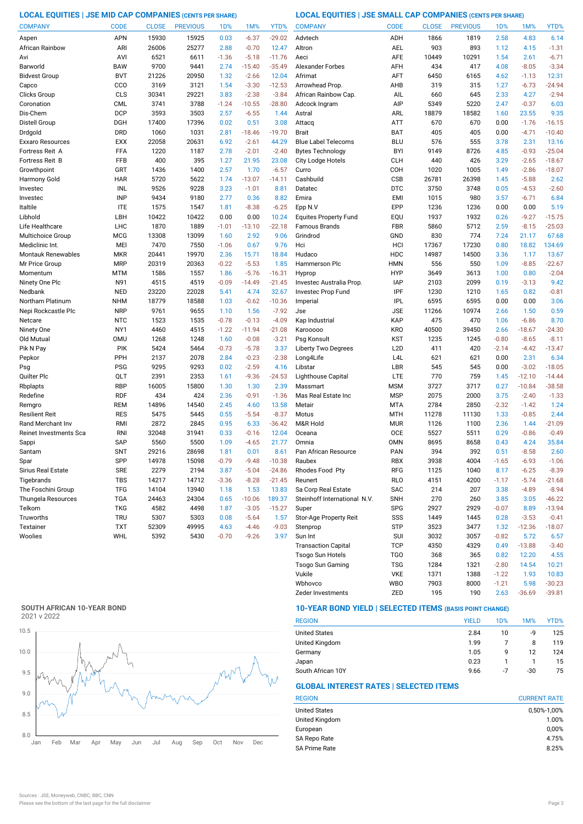**LOCAL EQUITIES | JSE MID CAP COMPANIES (CENTS PER SHARE) LOCAL EQUITIES | JSE SMALL CAP COMPANIES (CENTS PER SHARE)**

| <b>COMPANY</b>           | <b>CODE</b>              | <b>CLOSE</b> | <b>PREVIOUS</b> | 1 <sub>D</sub> % | 1M%             | YTD%            | <b>COMPANY</b>                  | <b>CODE</b>              | <b>CLOSE</b> | <b>PREVIOUS</b> | 1D%          | 1M%                 | YTD%                |
|--------------------------|--------------------------|--------------|-----------------|------------------|-----------------|-----------------|---------------------------------|--------------------------|--------------|-----------------|--------------|---------------------|---------------------|
| Aspen                    | <b>APN</b>               | 15930        | 15925           | 0.03             | $-6.37$         | $-29.02$        | Advtech                         | ADH                      | 1866         | 1819            | 2.58         | 4.83                | 6.14                |
| African Rainbow          | ARI                      | 26006        | 25277           | 2.88             | $-0.70$         | 12.47           | Altron                          | <b>AEL</b>               | 903          | 893             | 1.12         | 4.15                | $-1.31$             |
| Avi                      | AVI                      | 6521         | 6611            | $-1.36$          | $-5.18$         | $-11.76$        | Aeci                            | AFE                      | 10449        | 10291           | 1.54         | 2.61                | $-6.71$             |
| Barworld                 | <b>BAW</b>               | 9700         | 9441            | 2.74             | $-15.40$        | $-35.49$        | <b>Alexander Forbes</b>         | AFH                      | 434          | 417             | 4.08         | $-8.05$             | $-3.34$             |
| <b>Bidvest Group</b>     | <b>BVT</b>               | 21226        | 20950           | 1.32             | $-2.66$         | 12.04           | Afrimat                         | AFT                      | 6450         | 6165            | 4.62         | $-1.13$             | 12.31               |
| Capco                    | CCO                      | 3169         | 3121            | 1.54             | $-3.30$         | $-12.53$        | Arrowhead Prop                  | AHB                      | 319          | 315             | 1.27         | $-6.73$             | $-24.94$            |
| Clicks Group             | CLS                      | 30341        | 29221           | 3.83             | $-2.38$         | $-3.84$         | African Rainbow Cap.            | AIL                      | 660          | 645             | 2.33         | 4.27                | $-2.94$             |
| Coronation               | <b>CML</b>               | 3741         | 3788            | $-1.24$          | $-10.55$        | $-28.80$        | Adcock Ingram                   | AIP                      | 5349         | 5220            | 2.47         | $-0.37$             | 6.03                |
| Dis-Chem                 | <b>DCP</b>               | 3593         | 3503            | 2.57             | $-6.55$         | 1.44            | Astral                          | ARL                      | 18879        | 18582           | 1.60         | 23.55               | 9.35                |
| Distell Group            | DGH                      | 17400        | 17396           | 0.02             | 0.51            | 3.08            | Attacq                          | <b>ATT</b>               | 670          | 670             | 0.00         | $-1.76$             | $-16.15$            |
| Drdgold                  | <b>DRD</b>               | 1060         | 1031            | 2.81             | $-18.46$        | $-19.70$        | <b>Brait</b>                    | <b>BAT</b>               | 405          | 405             | 0.00         | $-4.71$             | $-10.40$            |
| Exxaro Resources         | <b>EXX</b>               | 22058        | 20631           | 6.92             | $-2.61$         | 44.29           | <b>Blue Label Telecoms</b>      | <b>BLU</b>               | 576          | 555             | 3.78         | 2.31                | 13.16               |
| Fortress Reit A          | FFA                      | 1220         | 1187            | 2.78             | $-2.01$         | $-2.40$         | <b>Bytes Technology</b>         | <b>BYI</b>               | 9149         | 8726            | 4.85         | $-0.93$             | $-25.04$            |
| <b>Fortress Reit B</b>   | FFB                      | 400          | 395             | 1.27             | 21.95           | 23.08           | City Lodge Hotels               | <b>CLH</b>               | 440          | 426             | 3.29         | $-2.65$             | $-18.67$            |
| Growthpoint              | GRT                      | 1436         | 1400            | 2.57             | 1.70            | $-6.57$         | Curro                           | COH                      | 1020         | 1005            | 1.49         | $-2.86$             | $-18.07$            |
| Harmony Gold             | <b>HAR</b>               | 5720         | 5622            | 1.74             | $-13.07$        | $-14.11$        | Cashbuild                       | CSB                      | 26781        | 26398           | 1.45         | $-5.88$             | 2.62                |
| Investec                 | INL                      | 9526         | 9228            | 3.23             | $-1.01$         | 8.81            | Datatec                         | <b>DTC</b>               | 3750         | 3748            | 0.05         | $-4.53$             | $-2.60$             |
| Investec                 | <b>INP</b>               | 9434         | 9180            | 2.77             | 0.36            | 8.82            | Emira                           | <b>EMI</b>               | 1015         | 980             | 3.57         | $-6.71$             | 6.84                |
| Italtile                 | <b>ITE</b>               | 1575         | 1547            | 1.81             | $-8.38$         | $-6.25$         | Epp N.V                         | EPP                      | 1236         | 1236            | 0.00         | 0.00                | 5.19                |
| Libhold                  | LBH                      | 10422        | 10422           | 0.00             | 0.00            | 10.24           | <b>Equites Property Fund</b>    | EQU                      | 1937         | 1932            | 0.26         | $-9.27$             | $-15.75$            |
| Life Healthcare          | LHC                      | 1870         | 1889            | $-1.01$          | $-13.10$        | $-22.18$        | Famous Brands                   | FBR                      | 5860         | 5712            | 2.59         | $-8.15$             | $-25.03$            |
| Multichoice Group        | <b>MCG</b>               | 13308        | 13099           | 1.60             | 2.92            | 9.06            | Grindrod                        | GND                      | 830          | 774             | 7.24         | 21.17               | 67.68               |
| Mediclinic Int.          | MEI                      | 7470         | 7550            | $-1.06$          | 0.67            | 9.76            | Hci                             | HCI                      | 17367        | 17230           | 0.80         | 18.82               | 134.69              |
| Montauk Renewables       | <b>MKR</b>               | 20441        | 19970           | 2.36             | 15.71           | 18.84           | Hudaco                          | HDC                      | 14987        | 14500           | 3.36         | 1.17                | 13.67               |
| Mr Price Group           | <b>MRP</b>               | 20319        | 20363           | $-0.22$          | $-5.53$         | 1.85            | Hammerson Plc                   | <b>HMN</b>               | 556          | 550             | 1.09         | $-8.85$             | $-22.67$            |
| Momentum                 | <b>MTM</b>               | 1586         | 1557            | 1.86             | $-5.76$         | $-16.31$        | Hyprop                          | <b>HYP</b>               | 3649         | 3613            | 1.00         | 0.80                | $-2.04$             |
| Ninety One Plc           | N91                      | 4515         | 4519            | $-0.09$          | $-14.49$        | $-21.45$        | Investec Australia Prop.        | <b>IAP</b>               | 2103         | 2099            | 0.19         | $-3.13$             | 9.42                |
| Nedbank                  | <b>NED</b>               | 23220        | 22028           | 5.41             | 4.74            | 32.67           | Investec Prop Fund              | IPF                      | 1230         | 1210            | 1.65         | 0.82                | $-0.81$             |
| Northam Platinum         | <b>NHM</b>               | 18779        | 18588           | 1.03             | $-0.62$         | $-10.36$        | Imperial                        | <b>IPL</b>               | 6595         | 6595            | 0.00         | 0.00                | 3.06                |
| Nepi Rockcastle Plc      | <b>NRP</b>               | 9761         | 9655            | 1.10             | 1.56            | $-7.92$         | Jse                             | <b>JSE</b>               | 11266        | 10974           | 2.66         | 1.50                | 0.59                |
| Netcare                  | <b>NTC</b>               | 1523         | 1535            | $-0.78$          | $-0.13$         | $-4.09$         | Kap Industrial                  | KAP                      | 475          | 470             | 1.06         | $-6.86$             | 8.70                |
| Ninety One               | NY1                      | 4460         | 4515            | $-1.22$          | $-11.94$        | $-21.08$        | Karooooo                        | <b>KRO</b>               | 40500        | 39450           | 2.66         | $-18.67$            | $-24.30$            |
| Old Mutual               | <b>OMU</b>               | 1268         | 1248            | 1.60             | $-0.08$         | $-3.21$         | Psg Konsult                     | KST                      | 1235         | 1245            | $-0.80$      | $-8.65$             | $-8.11$             |
| Pik N Pay                | PIK                      | 5424         | 5464            | $-0.73$          | $-5.78$         | 3.37            | <b>Liberty Two Degrees</b>      | L <sub>2</sub> D         | 411          | 420             | $-2.14$      | $-4.42$             | $-13.47$            |
| Pepkor                   | PPH                      | 2137         | 2078            | 2.84             | $-0.23$         | $-2.38$         | Long4Life                       | L <sub>4</sub> L         | 621          | 621             | 0.00         | 2.31                | 6.34                |
| Psg                      | <b>PSG</b>               | 9295         | 9293            | 0.02             | $-2.59$         | 4.16            | Libstar                         | LBR                      | 545          | 545             | 0.00         | $-3.02$             | $-18.05$            |
| Quilter Plc              | QLT                      | 2391         | 2353            | 1.61             | $-9.36$         | $-24.53$        | Lighthouse Capital              | LTE                      | 770          | 759             | 1.45         | $-12.10$            | $-14.44$            |
| Rbplapts<br>Redefine     | <b>RBP</b><br><b>RDF</b> | 16005<br>434 | 15800<br>424    | 1.30<br>2.36     | 1.30<br>$-0.91$ | 2.39<br>$-1.36$ | Massmart<br>Mas Real Estate Inc | <b>MSM</b><br><b>MSP</b> | 3727<br>2075 | 3717<br>2000    | 0.27<br>3.75 | $-10.84$<br>$-2.40$ | $-38.58$<br>$-1.33$ |
|                          | <b>REM</b>               | 14896        | 14540           | 2.45             | 4.60            | 13.58           | Metair                          | <b>MTA</b>               | 2784         | 2850            | $-2.32$      | $-1.42$             | 1.24                |
| Remgro<br>Resilient Reit | <b>RES</b>               | 5475         | 5445            | 0.55             | $-5.54$         | $-8.37$         | Motus                           | <b>MTH</b>               | 11278        | 11130           | 1.33         | $-0.85$             | 2.44                |
| Rand Merchant Inv        | RMI                      | 2872         | 2845            | 0.95             | 6.33            | $-36.42$        | M&R Hold                        | <b>MUR</b>               | 1126         | 1100            | 2.36         | 1.44                | $-21.09$            |
| Reinet Investments Sca   | RNI                      | 32048        | 31941           | 0.33             | $-0.16$         | 12.04           | Oceana                          | OCE                      | 5527         | 5511            | 0.29         | $-0.86$             | $-0.49$             |
| Sappi                    | <b>SAP</b>               | 5560         | 5500            | 1.09             | $-4.65$         | 21.77           | Omnia                           | <b>OMN</b>               | 8695         | 8658            | 0.43         | 4.24                | 35.84               |
| Santam                   | <b>SNT</b>               | 29216        | 28698           | 1.81             | 0.01            | 8.61            | Pan African Resource            | PAN                      | 394          | 392             | 0.51         | $-8.58$             | 2.60                |
| Spar                     | SPP                      | 14978        | 15098           | $-0.79$          | $-9.48$         | $-10.38$        | Raubex                          | <b>RBX</b>               | 3938         | 4004            | $-1.65$      | $-6.93$             | $-1.06$             |
| Sirius Real Estate       | <b>SRE</b>               | 2279         | 2194            | 3.87             | $-5.04$         | $-24.86$        | Rhodes Food Pty                 | RFG                      | 1125         | 1040            | 8.17         | $-6.25$             | $-8.39$             |
| Tigebrands               | <b>TBS</b>               | 14217        | 14712           | $-3.36$          | $-8.28$         | $-21.45$        | Reunert                         | <b>RLO</b>               | 4151         | 4200            | $-1.17$      | $-5.74$             | $-21.68$            |
| The Foschini Group       | <b>TFG</b>               | 14104        | 13940           | 1.18             | 1.53            | 13.83           | Sa Corp Real Estate             | SAC                      | 214          | 207             | 3.38         | $-4.89$             | $-8.94$             |
| Thungela Resources       | <b>TGA</b>               | 24463        | 24304           | 0.65             | $-10.06$        | 189.37          | Steinhoff International N.V.    | <b>SNH</b>               | 270          | 260             | 3.85         | 3.05                | $-46.22$            |
| Telkom                   | <b>TKG</b>               | 4582         | 4498            | 1.87             | $-3.05$         | $-15.27$        | Super                           | <b>SPG</b>               | 2927         | 2929            | $-0.07$      | 8.89                | $-13.94$            |
| Truworths                | <b>TRU</b>               | 5307         | 5303            | 0.08             | $-5.64$         | 1.57            | Stor-Age Property Reit          | SSS                      | 1449         | 1445            | 0.28         | $-3.53$             | $-0.41$             |
| Textainer                | <b>TXT</b>               | 52309        | 49995           | 4.63             | $-4.46$         | $-9.03$         | Stenprop                        | STP                      | 3523         | 3477            | 1.32         | $-12.36$            | $-18.07$            |
| Woolies                  | WHL                      | 5392         | 5430            | $-0.70$          | $-9.26$         | 3.97            | Sun Int                         | SUI                      | 3032         | 3057            | $-0.82$      | 5.72                | 6.57                |
|                          |                          |              |                 |                  |                 |                 | <b>Transaction Capital</b>      | <b>TCP</b>               | 4350         | 4329            | 0.49         | $-13.88$            | $-3.40$             |
|                          |                          |              |                 |                  |                 |                 | Tsogo Sun Hotels                | <b>TGO</b>               | 368          | 365             | 0.82         | 12.20               | 4.55                |

## **SOUTH AFRICAN 10-YEAR BOND**



## **10-YEAR BOND YIELD | SELECTED ITEMS (BASIS POINT CHANGE)**

| <b>REGION</b>        | <b>YIELD</b> | 1D% | 1M% | YTD% |
|----------------------|--------------|-----|-----|------|
| <b>United States</b> | 2.84         | 10  | -9  | 125  |
| United Kingdom       | 1.99         |     | 8   | 119  |
| Germany              | 1.05         | 9   | 12  | 124  |
| Japan                | 0.23         |     |     | 15   |
| South African 10Y    | 9.66         | -7  | -30 | 75   |

Wbhovco WBO 7903 8000 -1.21 5.98 -30.23 Vukile VKE 1371 1388 -1.22 1.93

Zeder Investments 2ED 195 190 2.63 -36.69 -39.81

Tsogo Sun Gaming TSG 1284 1321 -2.80 14.54 10.21

## **GLOBAL INTEREST RATES | SELECTED ITEMS**

| <b>REGION</b>        | <b>CURRENT RATE</b> |
|----------------------|---------------------|
| <b>United States</b> | 0,50%-1,00%         |
| United Kingdom       | 1.00%               |
| European             | 0,00%               |
| SA Repo Rate         | 4.75%               |
| <b>SA Prime Rate</b> | 8.25%               |

10.83<br>-30.23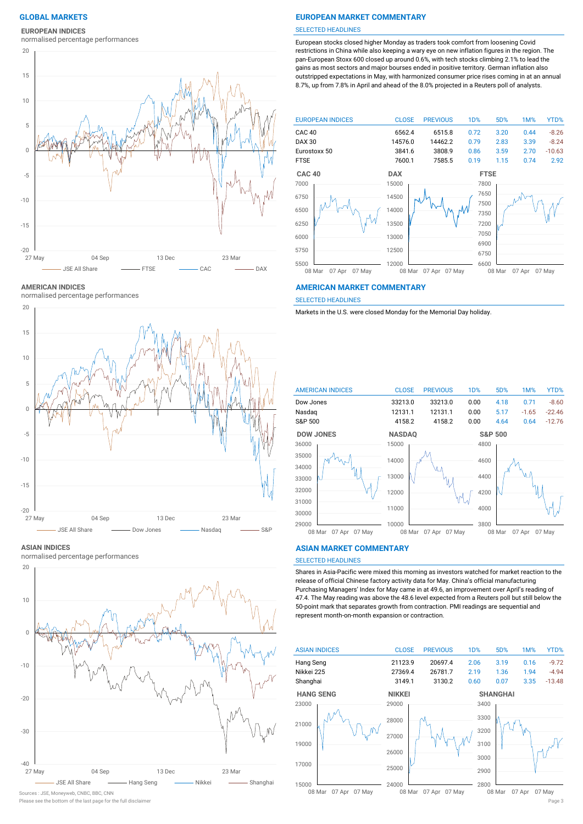## **EUROPEAN INDICES**

normalised percentage performances



#### **AMERICAN INDICES**

normalised percentage performances



#### **ASIAN INDICES**

normalised percentage performances



### Sources : JSE, Moneyweb, CNBC, BBC, CNN

## **GLOBAL MARKETS EUROPEAN MARKET COMMENTARY**

#### SELECTED HEADLINES

European stocks closed higher Monday as traders took comfort from loosening Covid restrictions in China while also keeping a wary eye on new inflation figures in the region. The pan-European Stoxx 600 closed up around 0.6%, with tech stocks climbing 2.1% to lead the gains as most sectors and major bourses ended in positive territory. German inflation also outstripped expectations in May, with harmonized consumer price rises coming in at an annual 8.7%, up from 7.8% in April and ahead of the 8.0% projected in a Reuters poll of analysts.



#### **AMERICAN MARKET COMMENTARY**

SELECTED HEADLINES

Markets in the U.S. were closed Monday for the Memorial Day holiday.



### **ASIAN MARKET COMMENTARY**

## SELECTED HEADLINES

Shares in Asia-Pacific were mixed this morning as investors watched for market reaction to the release of official Chinese factory activity data for May. China's official manufacturing Purchasing Managers' Index for May came in at 49.6, an improvement over April's reading of 47.4. The May reading was above the 48.6 level expected from a Reuters poll but still below the 50-point mark that separates growth from contraction. PMI readings are sequential and represent month-on-month expansion or contraction.